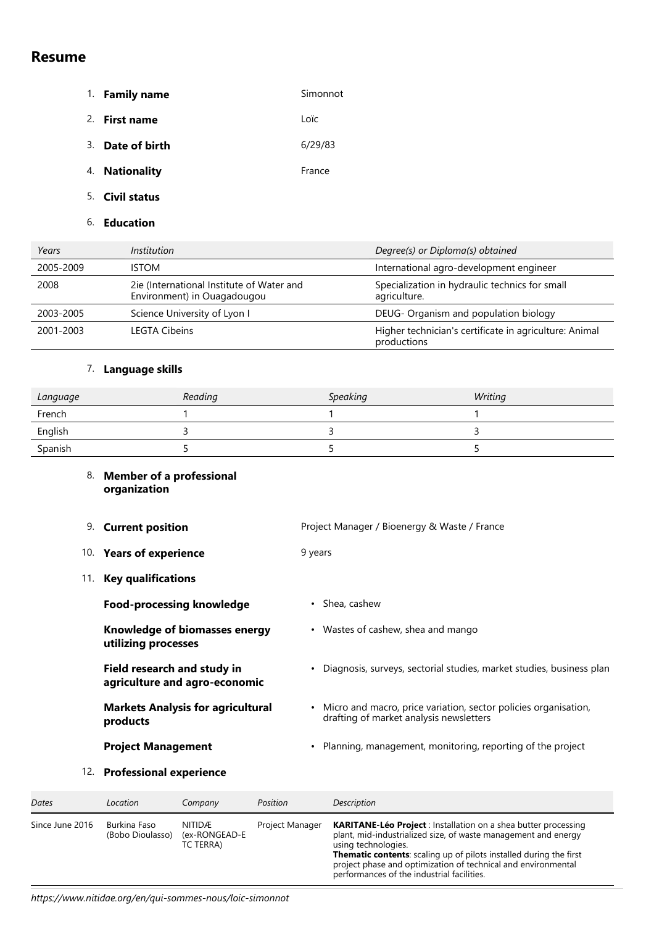## **Resume**

- 1. **Family name** Simonnot
- 2. **First name** Loïc
- 3. **Date of birth** 6/29/83
- 4. **Nationality France**
- 5. **Civil status**
- 6. **Education**

| Years     | Institution                                                              | Degree(s) or Diploma(s) obtained                                      |
|-----------|--------------------------------------------------------------------------|-----------------------------------------------------------------------|
| 2005-2009 | <b>ISTOM</b>                                                             | International agro-development engineer                               |
| 2008      | 2ie (International Institute of Water and<br>Environment) in Ouagadougou | Specialization in hydraulic technics for small<br>agriculture.        |
| 2003-2005 | Science University of Lyon I                                             | DEUG- Organism and population biology                                 |
| 2001-2003 | <b>LEGTA Cibeins</b>                                                     | Higher technician's certificate in agriculture: Animal<br>productions |

## 7. **Language skills**

| Language | Reading | <b>Speaking</b> | Writing |
|----------|---------|-----------------|---------|
| French   |         |                 |         |
| English  |         |                 |         |
| Spanish  |         |                 |         |

## 8. **Member of a professional organization**

9. **Current position Project Manager / Bioenergy & Waste / France** 10. **Years of experience** 9 years 11. **Key qualifications Food-processing knowledge** • Shea, cashew **Knowledge of biomasses energy utilizing processes** • Wastes of cashew, shea and mango **Field research and study in agriculture and agro-economic** • Diagnosis, surveys, sectorial studies, market studies, business plan

**Markets Analysis for agricultural products**

- 
- drafting of market analysis newsletters **Project Management** • Planning, management, monitoring, reporting of the project

• Micro and macro, price variation, sector policies organisation,

## 12. **Professional experience**

| Dates           | Location                         | Company                              | Position        | Description                                                                                                                                                                                                                                                                                                                                          |
|-----------------|----------------------------------|--------------------------------------|-----------------|------------------------------------------------------------------------------------------------------------------------------------------------------------------------------------------------------------------------------------------------------------------------------------------------------------------------------------------------------|
| Since June 2016 | Burkina Faso<br>(Bobo Dioulasso) | NITIDÆ<br>(ex-RONGEAD-E<br>TC TERRA) | Project Manager | <b>KARITANE-Léo Project</b> : Installation on a shea butter processing<br>plant, mid-industrialized size, of waste management and energy<br>using technologies.<br>Thematic contents: scaling up of pilots installed during the first<br>project phase and optimization of technical and environmental<br>performances of the industrial facilities. |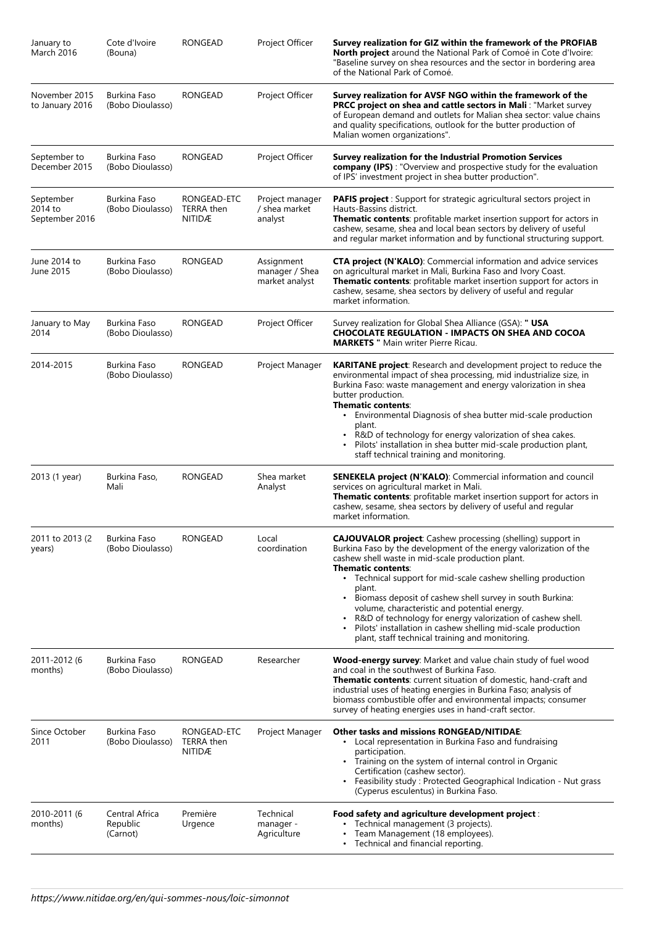| January to<br><b>March 2016</b>        | Cote d'Ivoire<br>(Bouna)               | <b>RONGEAD</b>                             | Project Officer                                | Survey realization for GIZ within the framework of the PROFIAB<br>North project around the National Park of Comoé in Cote d'Ivoire:<br>"Baseline survey on shea resources and the sector in bordering area<br>of the National Park of Comoé.                                                                                                                                                                                                                                                                                                                                                                  |
|----------------------------------------|----------------------------------------|--------------------------------------------|------------------------------------------------|---------------------------------------------------------------------------------------------------------------------------------------------------------------------------------------------------------------------------------------------------------------------------------------------------------------------------------------------------------------------------------------------------------------------------------------------------------------------------------------------------------------------------------------------------------------------------------------------------------------|
| November 2015<br>to January 2016       | Burkina Faso<br>(Bobo Dioulasso)       | RONGEAD                                    | Project Officer                                | Survey realization for AVSF NGO within the framework of the<br><b>PRCC project on shea and cattle sectors in Mali: "Market survey</b><br>of European demand and outlets for Malian shea sector: value chains<br>and quality specifications, outlook for the butter production of<br>Malian women organizations".                                                                                                                                                                                                                                                                                              |
| September to<br>December 2015          | Burkina Faso<br>(Bobo Dioulasso)       | <b>RONGEAD</b>                             | Project Officer                                | Survey realization for the Industrial Promotion Services<br>company (IPS) : "Overview and prospective study for the evaluation<br>of IPS' investment project in shea butter production".                                                                                                                                                                                                                                                                                                                                                                                                                      |
| September<br>2014 to<br>September 2016 | Burkina Faso<br>(Bobo Dioulasso)       | RONGEAD-ETC<br>TERRA then<br><b>NITIDÆ</b> | Project manager<br>/ shea market<br>analyst    | <b>PAFIS project</b> : Support for strategic agricultural sectors project in<br>Hauts-Bassins district.<br>Thematic contents: profitable market insertion support for actors in<br>cashew, sesame, shea and local bean sectors by delivery of useful<br>and regular market information and by functional structuring support.                                                                                                                                                                                                                                                                                 |
| June 2014 to<br>June 2015              | Burkina Faso<br>(Bobo Dioulasso)       | RONGEAD                                    | Assignment<br>manager / Shea<br>market analyst | CTA project (N'KALO): Commercial information and advice services<br>on agricultural market in Mali, Burkina Faso and Ivory Coast.<br>Thematic contents: profitable market insertion support for actors in<br>cashew, sesame, shea sectors by delivery of useful and regular<br>market information.                                                                                                                                                                                                                                                                                                            |
| January to May<br>2014                 | Burkina Faso<br>(Bobo Dioulasso)       | RONGEAD                                    | Project Officer                                | Survey realization for Global Shea Alliance (GSA): " USA<br><b>CHOCOLATE REGULATION - IMPACTS ON SHEA AND COCOA</b><br><b>MARKETS</b> " Main writer Pierre Ricau.                                                                                                                                                                                                                                                                                                                                                                                                                                             |
| 2014-2015                              | Burkina Faso<br>(Bobo Dioulasso)       | <b>RONGEAD</b>                             | Project Manager                                | <b>KARITANE project:</b> Research and development project to reduce the<br>environmental impact of shea processing, mid industrialize size, in<br>Burkina Faso: waste management and energy valorization in shea<br>butter production.<br><b>Thematic contents:</b><br>• Environmental Diagnosis of shea butter mid-scale production<br>plant.<br>• R&D of technology for energy valorization of shea cakes.<br>Pilots' installation in shea butter mid-scale production plant,<br>staff technical training and monitoring.                                                                                   |
| 2013 (1 year)                          | Burkina Faso,<br>Mali                  | RONGEAD                                    | Shea market<br>Analyst                         | <b>SENEKELA project (N'KALO):</b> Commercial information and council<br>services on agricultural market in Mali.<br>Thematic contents: profitable market insertion support for actors in<br>cashew, sesame, shea sectors by delivery of useful and regular<br>market information.                                                                                                                                                                                                                                                                                                                             |
| 2011 to 2013 (2<br>years)              | Burkina Faso<br>(Bobo Dioulasso)       | <b>RONGEAD</b>                             | Local<br>coordination                          | <b>CAJOUVALOR project:</b> Cashew processing (shelling) support in<br>Burkina Faso by the development of the energy valorization of the<br>cashew shell waste in mid-scale production plant.<br><b>Thematic contents:</b><br>• Technical support for mid-scale cashew shelling production<br>plant.<br>Biomass deposit of cashew shell survey in south Burkina:<br>$\bullet$<br>volume, characteristic and potential energy.<br>R&D of technology for energy valorization of cashew shell.<br>Pilots' installation in cashew shelling mid-scale production<br>plant, staff technical training and monitoring. |
| 2011-2012 (6<br>months)                | Burkina Faso<br>(Bobo Dioulasso)       | RONGEAD                                    | Researcher                                     | Wood-energy survey: Market and value chain study of fuel wood<br>and coal in the southwest of Burkina Faso.<br><b>Thematic contents:</b> current situation of domestic, hand-craft and<br>industrial uses of heating energies in Burkina Faso; analysis of<br>biomass combustible offer and environmental impacts; consumer<br>survey of heating energies uses in hand-craft sector.                                                                                                                                                                                                                          |
| Since October<br>2011                  | Burkina Faso<br>(Bobo Dioulasso)       | RONGEAD-ETC<br>TERRA then<br>NITIDÆ        | Project Manager                                | <b>Other tasks and missions RONGEAD/NITIDAE:</b><br>Local representation in Burkina Faso and fundraising<br>participation.<br>Training on the system of internal control in Organic<br>Certification (cashew sector).<br>Feasibility study: Protected Geographical Indication - Nut grass<br>(Cyperus esculentus) in Burkina Faso.                                                                                                                                                                                                                                                                            |
| 2010-2011 (6<br>months)                | Central Africa<br>Republic<br>(Carnot) | Première<br>Urgence                        | Technical<br>manager -<br>Agriculture          | Food safety and agriculture development project:<br>Technical management (3 projects).<br>Team Management (18 employees).<br>• Technical and financial reporting.                                                                                                                                                                                                                                                                                                                                                                                                                                             |